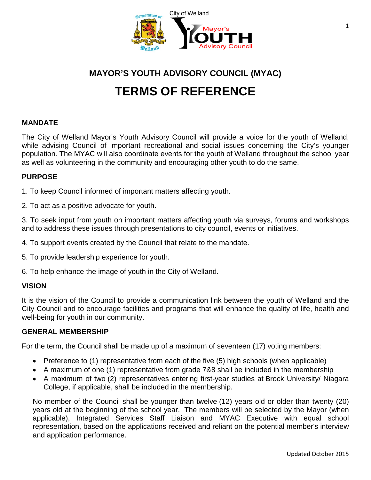

# **TERMS OF REFERENCE**

# **MANDATE**

The City of Welland Mayor's Youth Advisory Council will provide a voice for the youth of Welland, while advising Council of important recreational and social issues concerning the City's younger population. The MYAC will also coordinate events for the youth of Welland throughout the school year as well as volunteering in the community and encouraging other youth to do the same.

# **PURPOSE**

1. To keep Council informed of important matters affecting youth.

2. To act as a positive advocate for youth.

3. To seek input from youth on important matters affecting youth via surveys, forums and workshops and to address these issues through presentations to city council, events or initiatives.

- 4. To support events created by the Council that relate to the mandate.
- 5. To provide leadership experience for youth.
- 6. To help enhance the image of youth in the City of Welland.

## **VISION**

It is the vision of the Council to provide a communication link between the youth of Welland and the City Council and to encourage facilities and programs that will enhance the quality of life, health and well-being for youth in our community.

## **GENERAL MEMBERSHIP**

For the term, the Council shall be made up of a maximum of seventeen (17) voting members:

- Preference to (1) representative from each of the five (5) high schools (when applicable)
- A maximum of one (1) representative from grade 7&8 shall be included in the membership
- A maximum of two (2) representatives entering first-year studies at Brock University/ Niagara College, if applicable, shall be included in the membership.

No member of the Council shall be younger than twelve (12) years old or older than twenty (20) years old at the beginning of the school year. The members will be selected by the Mayor (when applicable), Integrated Services Staff Liaison and MYAC Executive with equal school representation, based on the applications received and reliant on the potential member's interview and application performance.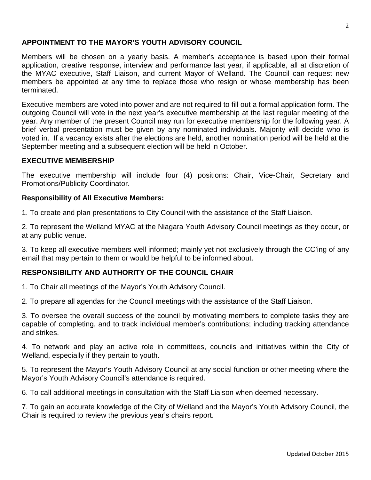## **APPOINTMENT TO THE MAYOR'S YOUTH ADVISORY COUNCIL**

Members will be chosen on a yearly basis. A member's acceptance is based upon their formal application, creative response, interview and performance last year, if applicable, all at discretion of the MYAC executive, Staff Liaison, and current Mayor of Welland. The Council can request new members be appointed at any time to replace those who resign or whose membership has been terminated.

Executive members are voted into power and are not required to fill out a formal application form. The outgoing Council will vote in the next year's executive membership at the last regular meeting of the year. Any member of the present Council may run for executive membership for the following year. A brief verbal presentation must be given by any nominated individuals. Majority will decide who is voted in. If a vacancy exists after the elections are held, another nomination period will be held at the September meeting and a subsequent election will be held in October.

## **EXECUTIVE MEMBERSHIP**

The executive membership will include four (4) positions: Chair, Vice-Chair, Secretary and Promotions/Publicity Coordinator.

## **Responsibility of All Executive Members:**

1. To create and plan presentations to City Council with the assistance of the Staff Liaison.

2. To represent the Welland MYAC at the Niagara Youth Advisory Council meetings as they occur, or at any public venue.

3. To keep all executive members well informed; mainly yet not exclusively through the CC'ing of any email that may pertain to them or would be helpful to be informed about.

# **RESPONSIBILITY AND AUTHORITY OF THE COUNCIL CHAIR**

1. To Chair all meetings of the Mayor's Youth Advisory Council.

2. To prepare all agendas for the Council meetings with the assistance of the Staff Liaison.

3. To oversee the overall success of the council by motivating members to complete tasks they are capable of completing, and to track individual member's contributions; including tracking attendance and strikes.

4. To network and play an active role in committees, councils and initiatives within the City of Welland, especially if they pertain to youth.

5. To represent the Mayor's Youth Advisory Council at any social function or other meeting where the Mayor's Youth Advisory Council's attendance is required.

6. To call additional meetings in consultation with the Staff Liaison when deemed necessary.

7. To gain an accurate knowledge of the City of Welland and the Mayor's Youth Advisory Council, the Chair is required to review the previous year's chairs report.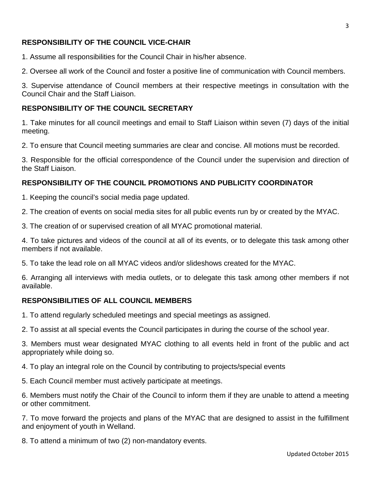# **RESPONSIBILITY OF THE COUNCIL VICE-CHAIR**

1. Assume all responsibilities for the Council Chair in his/her absence.

2. Oversee all work of the Council and foster a positive line of communication with Council members.

3. Supervise attendance of Council members at their respective meetings in consultation with the Council Chair and the Staff Liaison.

## **RESPONSIBILITY OF THE COUNCIL SECRETARY**

1. Take minutes for all council meetings and email to Staff Liaison within seven (7) days of the initial meeting.

2. To ensure that Council meeting summaries are clear and concise. All motions must be recorded.

3. Responsible for the official correspondence of the Council under the supervision and direction of the Staff Liaison.

## **RESPONSIBILITY OF THE COUNCIL PROMOTIONS AND PUBLICITY COORDINATOR**

1. Keeping the council's social media page updated.

2. The creation of events on social media sites for all public events run by or created by the MYAC.

3. The creation of or supervised creation of all MYAC promotional material.

4. To take pictures and videos of the council at all of its events, or to delegate this task among other members if not available.

5. To take the lead role on all MYAC videos and/or slideshows created for the MYAC.

6. Arranging all interviews with media outlets, or to delegate this task among other members if not available.

## **RESPONSIBILITIES OF ALL COUNCIL MEMBERS**

1. To attend regularly scheduled meetings and special meetings as assigned.

2. To assist at all special events the Council participates in during the course of the school year.

3. Members must wear designated MYAC clothing to all events held in front of the public and act appropriately while doing so.

4. To play an integral role on the Council by contributing to projects/special events

5. Each Council member must actively participate at meetings.

6. Members must notify the Chair of the Council to inform them if they are unable to attend a meeting or other commitment.

7. To move forward the projects and plans of the MYAC that are designed to assist in the fulfillment and enjoyment of youth in Welland.

8. To attend a minimum of two (2) non-mandatory events.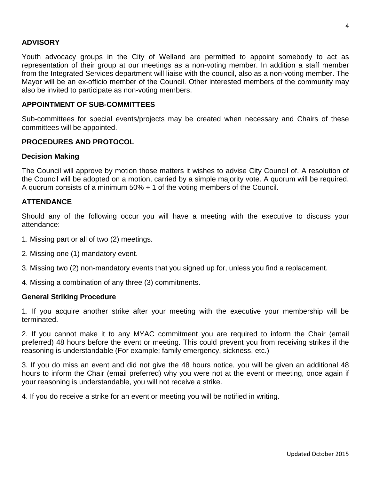#### **ADVISORY**

Youth advocacy groups in the City of Welland are permitted to appoint somebody to act as representation of their group at our meetings as a non-voting member. In addition a staff member from the Integrated Services department will liaise with the council, also as a non-voting member. The Mayor will be an ex-officio member of the Council. Other interested members of the community may also be invited to participate as non-voting members.

#### **APPOINTMENT OF SUB-COMMITTEES**

Sub-committees for special events/projects may be created when necessary and Chairs of these committees will be appointed.

#### **PROCEDURES AND PROTOCOL**

#### **Decision Making**

The Council will approve by motion those matters it wishes to advise City Council of. A resolution of the Council will be adopted on a motion, carried by a simple majority vote. A quorum will be required. A quorum consists of a minimum 50% + 1 of the voting members of the Council.

#### **ATTENDANCE**

Should any of the following occur you will have a meeting with the executive to discuss your attendance:

- 1. Missing part or all of two (2) meetings.
- 2. Missing one (1) mandatory event.
- 3. Missing two (2) non-mandatory events that you signed up for, unless you find a replacement.
- 4. Missing a combination of any three (3) commitments.

#### **General Striking Procedure**

1. If you acquire another strike after your meeting with the executive your membership will be terminated.

2. If you cannot make it to any MYAC commitment you are required to inform the Chair (email preferred) 48 hours before the event or meeting. This could prevent you from receiving strikes if the reasoning is understandable (For example; family emergency, sickness, etc.)

3. If you do miss an event and did not give the 48 hours notice, you will be given an additional 48 hours to inform the Chair (email preferred) why you were not at the event or meeting, once again if your reasoning is understandable, you will not receive a strike.

4. If you do receive a strike for an event or meeting you will be notified in writing.